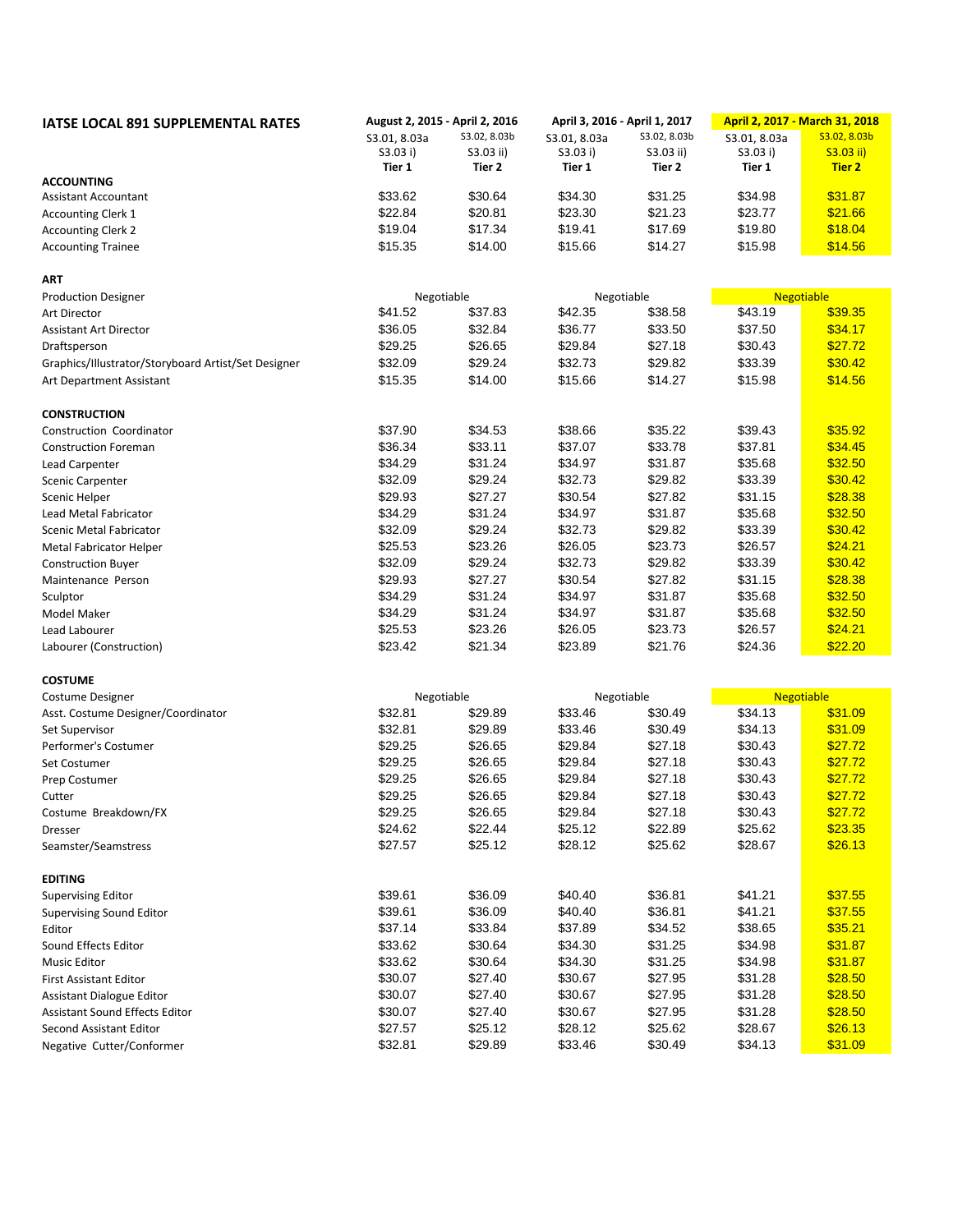| <b>IATSE LOCAL 891 SUPPLEMENTAL RATES</b>           | August 2, 2015 - April 2, 2016 |              | April 3, 2016 - April 1, 2017 |              | April 2, 2017 - March 31, 2018 |                   |
|-----------------------------------------------------|--------------------------------|--------------|-------------------------------|--------------|--------------------------------|-------------------|
|                                                     | S3.01, 8.03a                   | S3.02, 8.03b | S3.01, 8.03a                  | S3.02, 8.03b | S3.01, 8.03a                   | S3.02, 8.03b      |
|                                                     | S3.03 i)                       | S3.03 ii)    | S3.03 i)                      | S3.03 ii)    | S3.03 i)                       | $S3.03$ ii)       |
|                                                     | Tier 1                         | Tier 2       | Tier 1                        | Tier 2       | Tier 1                         | <b>Tier 2</b>     |
| <b>ACCOUNTING</b>                                   |                                |              |                               |              |                                |                   |
| Assistant Accountant                                | \$33.62                        | \$30.64      | \$34.30                       | \$31.25      | \$34.98                        | \$31.87           |
| <b>Accounting Clerk 1</b>                           | \$22.84                        | \$20.81      | \$23.30                       | \$21.23      | \$23.77                        | \$21.66           |
| <b>Accounting Clerk 2</b>                           | \$19.04                        | \$17.34      | \$19.41                       | \$17.69      | \$19.80                        | \$18.04           |
| <b>Accounting Trainee</b>                           | \$15.35                        | \$14.00      | \$15.66                       | \$14.27      | \$15.98                        | \$14.56           |
| ART                                                 |                                |              |                               |              |                                |                   |
| <b>Production Designer</b>                          | Negotiable                     |              | Negotiable                    |              |                                | <b>Negotiable</b> |
| Art Director                                        | \$41.52                        | \$37.83      | \$42.35                       | \$38.58      | \$43.19                        | \$39.35           |
| <b>Assistant Art Director</b>                       | \$36.05                        | \$32.84      | \$36.77                       | \$33.50      | \$37.50                        | \$34.17           |
| Draftsperson                                        | \$29.25                        | \$26.65      | \$29.84                       | \$27.18      | \$30.43                        | \$27.72           |
| Graphics/Illustrator/Storyboard Artist/Set Designer | \$32.09                        | \$29.24      | \$32.73                       | \$29.82      | \$33.39                        | \$30.42           |
| Art Department Assistant                            | \$15.35                        | \$14.00      | \$15.66                       | \$14.27      | \$15.98                        | \$14.56           |
| <b>CONSTRUCTION</b>                                 |                                |              |                               |              |                                |                   |
| Construction Coordinator                            | \$37.90                        | \$34.53      | \$38.66                       | \$35.22      | \$39.43                        | \$35.92           |
| <b>Construction Foreman</b>                         | \$36.34                        | \$33.11      | \$37.07                       | \$33.78      | \$37.81                        | \$34.45           |
| Lead Carpenter                                      | \$34.29                        | \$31.24      | \$34.97                       | \$31.87      | \$35.68                        | \$32.50           |
| <b>Scenic Carpenter</b>                             | \$32.09                        | \$29.24      | \$32.73                       | \$29.82      | \$33.39                        | \$30.42           |
| Scenic Helper                                       | \$29.93                        | \$27.27      | \$30.54                       | \$27.82      | \$31.15                        | \$28.38           |
| Lead Metal Fabricator                               | \$34.29                        | \$31.24      | \$34.97                       | \$31.87      | \$35.68                        | \$32.50           |
| <b>Scenic Metal Fabricator</b>                      | \$32.09                        | \$29.24      | \$32.73                       | \$29.82      | \$33.39                        | \$30.42           |
| Metal Fabricator Helper                             | \$25.53                        | \$23.26      | \$26.05                       | \$23.73      | \$26.57                        | \$24.21           |
| <b>Construction Buyer</b>                           | \$32.09                        | \$29.24      | \$32.73                       | \$29.82      | \$33.39                        | \$30.42           |
| Maintenance Person                                  | \$29.93                        | \$27.27      | \$30.54                       | \$27.82      | \$31.15                        | \$28.38           |
| Sculptor                                            | \$34.29                        | \$31.24      | \$34.97                       | \$31.87      | \$35.68                        | \$32.50           |
| Model Maker                                         | \$34.29                        | \$31.24      | \$34.97                       | \$31.87      | \$35.68                        | \$32.50           |
| Lead Labourer                                       | \$25.53                        | \$23.26      | \$26.05                       | \$23.73      | \$26.57                        | \$24.21           |
|                                                     | \$23.42                        | \$21.34      | \$23.89                       | \$21.76      | \$24.36                        | \$22.20           |
| Labourer (Construction)                             |                                |              |                               |              |                                |                   |
| <b>COSTUME</b>                                      |                                |              |                               |              |                                |                   |
| <b>Costume Designer</b>                             |                                | Negotiable   |                               | Negotiable   |                                | <b>Negotiable</b> |
| Asst. Costume Designer/Coordinator                  | \$32.81                        | \$29.89      | \$33.46                       | \$30.49      | \$34.13                        | \$31.09           |
| Set Supervisor                                      | \$32.81                        | \$29.89      | \$33.46                       | \$30.49      | \$34.13                        | \$31.09           |
| Performer's Costumer                                | \$29.25                        | \$26.65      | \$29.84                       | \$27.18      | \$30.43                        | \$27.72           |
| Set Costumer                                        | \$29.25                        | \$26.65      | \$29.84                       | \$27.18      | \$30.43                        | \$27.72           |
| Prep Costumer                                       | \$29.25                        | \$26.65      | \$29.84                       | \$27.18      | \$30.43                        | \$27.72           |
| Cutter                                              | \$29.25                        | \$26.65      | \$29.84                       | \$27.18      | \$30.43                        | \$27.72           |
| Costume Breakdown/FX                                | \$29.25                        | \$26.65      | \$29.84                       | \$27.18      | \$30.43                        | \$27.72           |
| Dresser                                             | \$24.62                        | \$22.44      | \$25.12                       | \$22.89      | \$25.62                        | \$23.35           |
| Seamster/Seamstress                                 | \$27.57                        | \$25.12      | \$28.12                       | \$25.62      | \$28.67                        | \$26.13           |
| <b>EDITING</b>                                      |                                |              |                               |              |                                |                   |
| <b>Supervising Editor</b>                           | \$39.61                        | \$36.09      | \$40.40                       | \$36.81      | \$41.21                        | \$37.55           |
| <b>Supervising Sound Editor</b>                     | \$39.61                        | \$36.09      | \$40.40                       | \$36.81      | \$41.21                        | \$37.55           |
| Editor                                              | \$37.14                        | \$33.84      | \$37.89                       | \$34.52      | \$38.65                        | \$35.21           |
| Sound Effects Editor                                | \$33.62                        | \$30.64      | \$34.30                       | \$31.25      | \$34.98                        | \$31.87           |
| Music Editor                                        | \$33.62                        | \$30.64      | \$34.30                       | \$31.25      | \$34.98                        | \$31.87           |
| <b>First Assistant Editor</b>                       | \$30.07                        | \$27.40      | \$30.67                       | \$27.95      | \$31.28                        | \$28.50           |
| Assistant Dialogue Editor                           | \$30.07                        | \$27.40      | \$30.67                       | \$27.95      | \$31.28                        | \$28.50           |
| <b>Assistant Sound Effects Editor</b>               | \$30.07                        | \$27.40      | \$30.67                       | \$27.95      | \$31.28                        | \$28.50           |
| Second Assistant Editor                             | \$27.57                        | \$25.12      | \$28.12                       | \$25.62      | \$28.67                        | \$26.13           |
| Negative Cutter/Conformer                           | \$32.81                        | \$29.89      | \$33.46                       | \$30.49      | \$34.13                        | \$31.09           |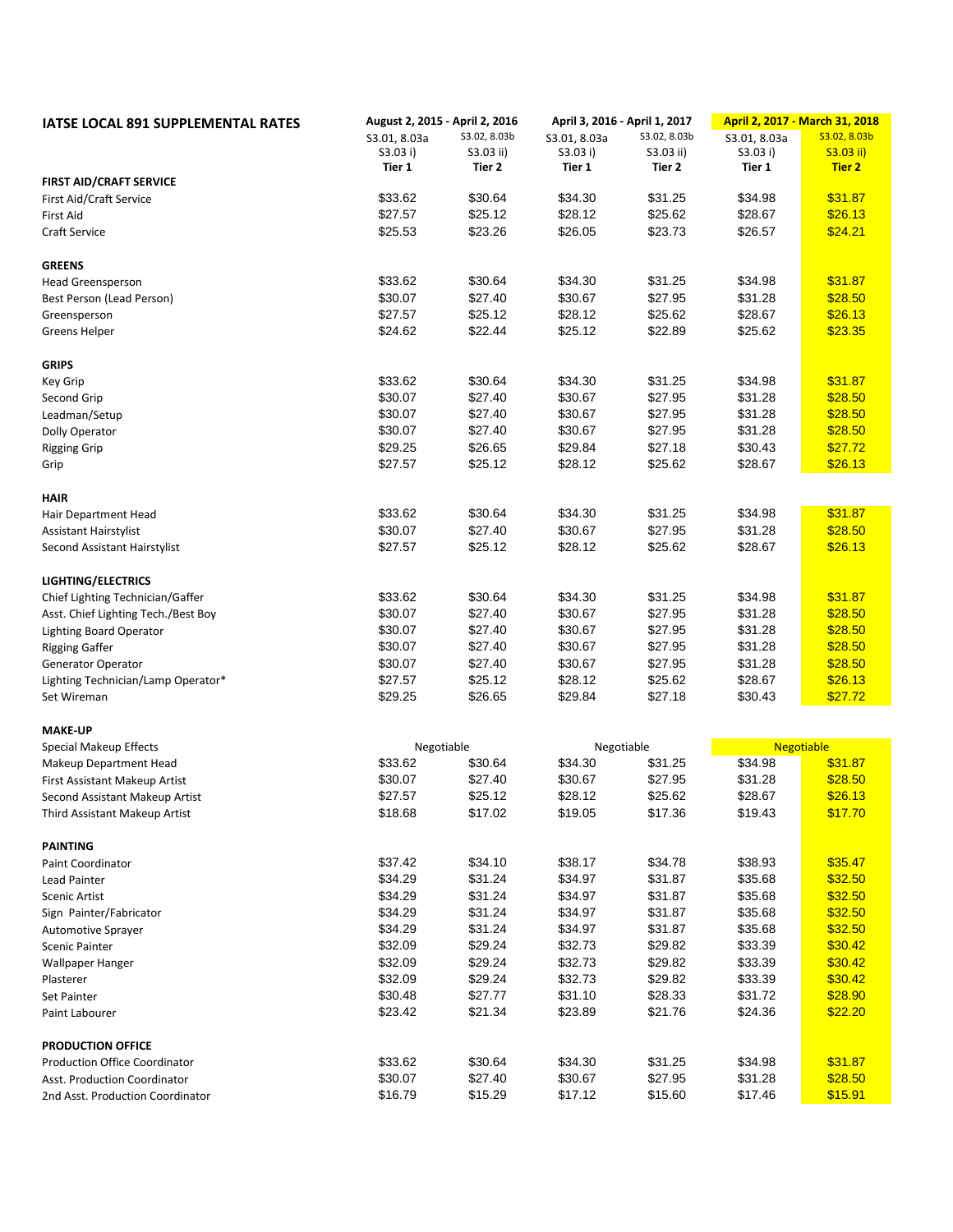| <b>IATSE LOCAL 891 SUPPLEMENTAL RATES</b>       | August 2, 2015 - April 2, 2016 |              | April 3, 2016 - April 1, 2017 |              | April 2, 2017 - March 31, 2018 |               |
|-------------------------------------------------|--------------------------------|--------------|-------------------------------|--------------|--------------------------------|---------------|
|                                                 | S3.01, 8.03a                   | S3.02, 8.03b | S3.01, 8.03a                  | S3.02, 8.03b | S3.01, 8.03a                   | S3.02, 8.03b  |
|                                                 | S3.03 i)                       | S3.03 ii)    | S3.03 i)                      | S3.03 ii)    | S3.03 i)                       | $S3.03$ ii)   |
| <b>FIRST AID/CRAFT SERVICE</b>                  | Tier 1                         | Tier 2       | Tier 1                        | Tier 2       | Tier 1                         | <b>Tier 2</b> |
| First Aid/Craft Service                         | \$33.62                        | \$30.64      | \$34.30                       | \$31.25      | \$34.98                        | \$31.87       |
| <b>First Aid</b>                                | \$27.57                        | \$25.12      | \$28.12                       | \$25.62      | \$28.67                        | \$26.13       |
| <b>Craft Service</b>                            | \$25.53                        | \$23.26      | \$26.05                       | \$23.73      | \$26.57                        | \$24.21       |
|                                                 |                                |              |                               |              |                                |               |
| <b>GREENS</b>                                   |                                |              |                               |              |                                |               |
| Head Greensperson                               | \$33.62                        | \$30.64      | \$34.30                       | \$31.25      | \$34.98                        | \$31.87       |
| Best Person (Lead Person)                       | \$30.07                        | \$27.40      | \$30.67                       | \$27.95      | \$31.28                        | \$28.50       |
| Greensperson                                    | \$27.57                        | \$25.12      | \$28.12                       | \$25.62      | \$28.67                        | \$26.13       |
| <b>Greens Helper</b>                            | \$24.62                        | \$22.44      | \$25.12                       | \$22.89      | \$25.62                        | \$23.35       |
| <b>GRIPS</b>                                    |                                |              |                               |              |                                |               |
| Key Grip                                        | \$33.62                        | \$30.64      | \$34.30                       | \$31.25      | \$34.98                        | \$31.87       |
| Second Grip                                     | \$30.07                        | \$27.40      | \$30.67                       | \$27.95      | \$31.28                        | \$28.50       |
| Leadman/Setup                                   | \$30.07                        | \$27.40      | \$30.67                       | \$27.95      | \$31.28                        | \$28.50       |
| Dolly Operator                                  | \$30.07                        | \$27.40      | \$30.67                       | \$27.95      | \$31.28                        | \$28.50       |
| <b>Rigging Grip</b>                             | \$29.25                        | \$26.65      | \$29.84                       | \$27.18      | \$30.43                        | \$27.72       |
| Grip                                            | \$27.57                        | \$25.12      | \$28.12                       | \$25.62      | \$28.67                        | \$26.13       |
|                                                 |                                |              |                               |              |                                |               |
| <b>HAIR</b>                                     |                                |              |                               |              |                                |               |
| Hair Department Head                            | \$33.62                        | \$30.64      | \$34.30                       | \$31.25      | \$34.98                        | \$31.87       |
| <b>Assistant Hairstylist</b>                    | \$30.07                        | \$27.40      | \$30.67                       | \$27.95      | \$31.28                        | \$28.50       |
| Second Assistant Hairstylist                    | \$27.57                        | \$25.12      | \$28.12                       | \$25.62      | \$28.67                        | \$26.13       |
| <b>LIGHTING/ELECTRICS</b>                       |                                |              |                               |              |                                |               |
| Chief Lighting Technician/Gaffer                | \$33.62                        | \$30.64      | \$34.30                       | \$31.25      | \$34.98                        | \$31.87       |
| Asst. Chief Lighting Tech./Best Boy             | \$30.07                        | \$27.40      | \$30.67                       | \$27.95      | \$31.28                        | \$28.50       |
| <b>Lighting Board Operator</b>                  | \$30.07                        | \$27.40      | \$30.67                       | \$27.95      | \$31.28                        | \$28.50       |
| <b>Rigging Gaffer</b>                           | \$30.07                        | \$27.40      | \$30.67                       | \$27.95      | \$31.28                        | \$28.50       |
| Generator Operator                              | \$30.07                        | \$27.40      | \$30.67                       | \$27.95      | \$31.28                        | \$28.50       |
| Lighting Technician/Lamp Operator*              | \$27.57                        | \$25.12      | \$28.12                       | \$25.62      | \$28.67                        | \$26.13       |
| Set Wireman                                     | \$29.25                        | \$26.65      | \$29.84                       | \$27.18      | \$30.43                        | \$27.72       |
|                                                 |                                |              |                               |              |                                |               |
| <b>MAKE-UP</b><br><b>Special Makeup Effects</b> | Negotiable                     |              |                               | Negotiable   | <b>Negotiable</b>              |               |
| Makeup Department Head                          | \$33.62                        | \$30.64      | \$34.30                       | \$31.25      | \$34.98                        | \$31.87       |
| First Assistant Makeup Artist                   | \$30.07                        | \$27.40      | \$30.67                       | \$27.95      | \$31.28                        | \$28.50       |
| Second Assistant Makeup Artist                  | \$27.57                        | \$25.12      | \$28.12                       | \$25.62      | \$28.67                        | \$26.13       |
|                                                 | \$18.68                        | \$17.02      | \$19.05                       | \$17.36      | \$19.43                        | \$17.70       |
| Third Assistant Makeup Artist                   |                                |              |                               |              |                                |               |
| <b>PAINTING</b>                                 |                                |              |                               |              |                                |               |
| Paint Coordinator                               | \$37.42                        | \$34.10      | \$38.17                       | \$34.78      | \$38.93                        | \$35.47       |
| Lead Painter                                    | \$34.29                        | \$31.24      | \$34.97                       | \$31.87      | \$35.68                        | \$32.50       |
| <b>Scenic Artist</b>                            | \$34.29                        | \$31.24      | \$34.97                       | \$31.87      | \$35.68                        | \$32.50       |
| Sign Painter/Fabricator                         | \$34.29                        | \$31.24      | \$34.97                       | \$31.87      | \$35.68                        | \$32.50       |
| <b>Automotive Sprayer</b>                       | \$34.29                        | \$31.24      | \$34.97                       | \$31.87      | \$35.68                        | \$32.50       |
| <b>Scenic Painter</b>                           | \$32.09                        | \$29.24      | \$32.73                       | \$29.82      | \$33.39                        | \$30.42       |
| Wallpaper Hanger                                | \$32.09                        | \$29.24      | \$32.73                       | \$29.82      | \$33.39                        | \$30.42       |
| Plasterer                                       | \$32.09                        | \$29.24      | \$32.73                       | \$29.82      | \$33.39                        | \$30.42       |
| Set Painter                                     | \$30.48                        | \$27.77      | \$31.10                       | \$28.33      | \$31.72                        | \$28.90       |
| Paint Labourer                                  | \$23.42                        | \$21.34      | \$23.89                       | \$21.76      | \$24.36                        | \$22.20       |
| <b>PRODUCTION OFFICE</b>                        |                                |              |                               |              |                                |               |
| <b>Production Office Coordinator</b>            | \$33.62                        | \$30.64      | \$34.30                       | \$31.25      | \$34.98                        | \$31.87       |
| Asst. Production Coordinator                    | \$30.07                        | \$27.40      | \$30.67                       | \$27.95      | \$31.28                        | \$28.50       |
| 2nd Asst. Production Coordinator                | \$16.79                        | \$15.29      | \$17.12                       | \$15.60      | \$17.46                        | \$15.91       |
|                                                 |                                |              |                               |              |                                |               |